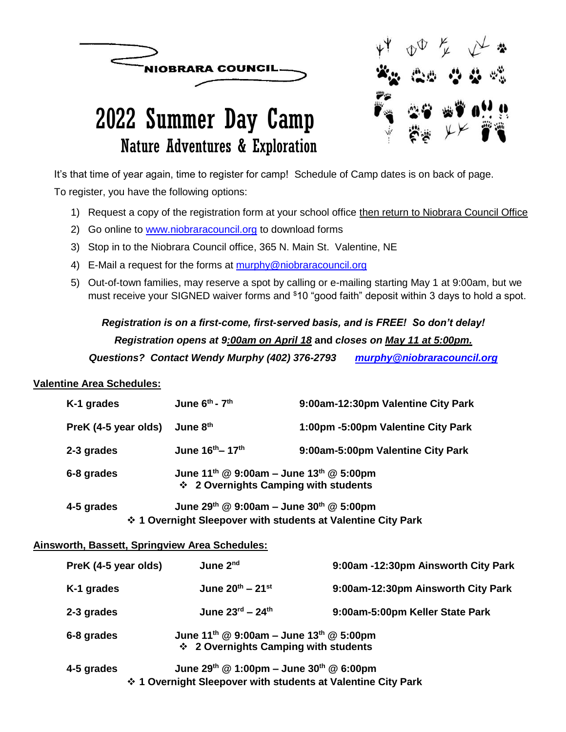



# 2022 Summer Day Camp Nature Adventures & Exploration

It's that time of year again, time to register for camp! Schedule of Camp dates is on back of page. To register, you have the following options:

- 1) Request a copy of the registration form at your school office then return to Niobrara Council Office
- 2) Go online to [www.niobraracouncil.org](http://www.niobraracouncil.org/) to download forms
- 3) Stop in to the Niobrara Council office, 365 N. Main St. Valentine, NE
- 4) E-Mail a request for the forms at [murphy@niobraracouncil.org](mailto:murphy@niobraracouncil.org)
- 5) Out-of-town families, may reserve a spot by calling or e-mailing starting May 1 at 9:00am, but we must receive your SIGNED waiver forms and \$10 "good faith" deposit within 3 days to hold a spot.

### *Registration is on a first-come, first-served basis, and is FREE! So don't delay! Registration opens at 9:00am on April 18* **and** *closes on May 11 at 5:00pm. Questions? Contact Wendy Murphy (402) 376-2793 [murphy@niobraracouncil.org](mailto:murphy@niobraracouncil.org)*

#### **Valentine Area Schedules:**

| June $6^{th}$ - $7^{th}$                                                                                              | 9:00am-12:30pm Valentine City Park |  |  |  |
|-----------------------------------------------------------------------------------------------------------------------|------------------------------------|--|--|--|
| June 8th                                                                                                              | 1:00pm -5:00pm Valentine City Park |  |  |  |
| June 16 <sup>th</sup> – 17 <sup>th</sup>                                                                              | 9:00am-5:00pm Valentine City Park  |  |  |  |
| June 11 <sup>th</sup> @ 9:00am - June 13 <sup>th</sup> @ 5:00pm<br>❖ 2 Overnights Camping with students               |                                    |  |  |  |
| June 29th @ 9:00am - June 30th @ 5:00pm<br>4-5 grades<br>❖ 1 Overnight Sleepover with students at Valentine City Park |                                    |  |  |  |
|                                                                                                                       |                                    |  |  |  |

#### **Ainsworth, Bassett, Springview Area Schedules:**

| PreK (4-5 year olds) | June 2 <sup>nd</sup>                                                                                                        | 9:00am -12:30pm Ainsworth City Park |
|----------------------|-----------------------------------------------------------------------------------------------------------------------------|-------------------------------------|
| K-1 grades           | June $20^{th} - 21^{st}$                                                                                                    | 9:00am-12:30pm Ainsworth City Park  |
| 2-3 grades           | June $23^{\text{rd}} - 24^{\text{th}}$                                                                                      | 9:00am-5:00pm Keller State Park     |
| 6-8 grades           | June 11 <sup>th</sup> @ 9:00am - June 13 <sup>th</sup> @ 5:00pm<br>❖ 2 Overnights Camping with students                     |                                     |
| 4-5 grades           | June 29th $@ 1:00 \text{pm} -$ June 30th $@ 6:00 \text{pm}$<br>❖ 1 Overnight Sleepover with students at Valentine City Park |                                     |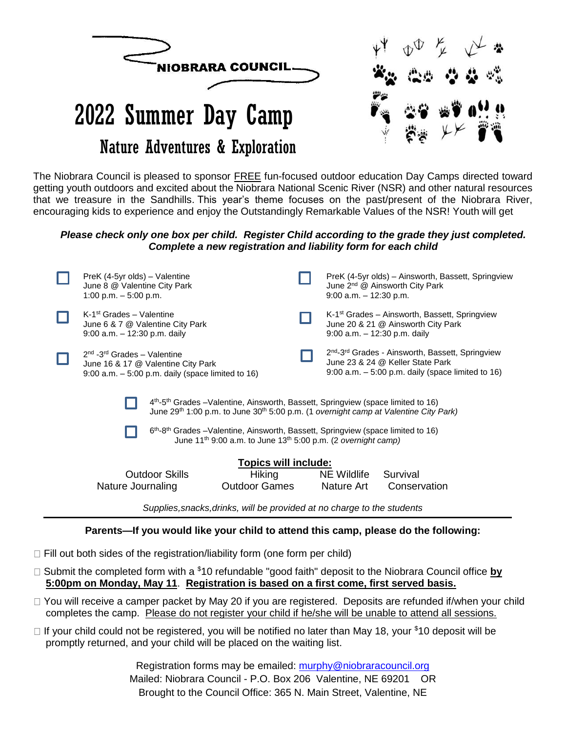

getting youth outdoors and excited about the Niobrara National Scenic River (NSR) and other natural resources that we treasure in the Sandhills. This year's theme focuses on the past/present of the Niobrara River, encouraging kids to experience and enjoy the Outstandingly Remarkable Values of the NSR! Youth will get

#### *Please check only one box per child. Register Child according to the grade they just completed. Complete a new registration and liability form for each child*

|                                                                                                                                                                                                                                                                                                                                                                                                       | PreK (4-5yr olds) – Valentine<br>June 8 @ Valentine City Park<br>1:00 p.m. $-5:00$ p.m.                                                 |                                | $9:00$ a.m. $-12:30$ p.m. | PreK (4-5yr olds) - Ainsworth, Bassett, Springview<br>June 2 <sup>nd</sup> @ Ainsworth City Park                                                                     |  |  |  |  |
|-------------------------------------------------------------------------------------------------------------------------------------------------------------------------------------------------------------------------------------------------------------------------------------------------------------------------------------------------------------------------------------------------------|-----------------------------------------------------------------------------------------------------------------------------------------|--------------------------------|---------------------------|----------------------------------------------------------------------------------------------------------------------------------------------------------------------|--|--|--|--|
|                                                                                                                                                                                                                                                                                                                                                                                                       | $K-1st$ Grades – Valentine<br>June 6 & 7 @ Valentine City Park<br>$9:00$ a.m. $-12:30$ p.m. daily                                       |                                |                           | K-1 <sup>st</sup> Grades – Ainsworth, Bassett, Springview<br>June 20 & 21 @ Ainsworth City Park<br>$9:00$ a.m. $-12:30$ p.m. daily                                   |  |  |  |  |
|                                                                                                                                                                                                                                                                                                                                                                                                       | $2nd$ -3 <sup>rd</sup> Grades – Valentine<br>June 16 & 17 @ Valentine City Park<br>$9:00$ a.m. $-5:00$ p.m. daily (space limited to 16) |                                |                           | 2 <sup>nd</sup> -3 <sup>rd</sup> Grades - Ainsworth, Bassett, Springview<br>June 23 & 24 @ Keller State Park<br>$9:00$ a.m. $-5:00$ p.m. daily (space limited to 16) |  |  |  |  |
| $4th$ -5 <sup>th</sup> Grades –Valentine, Ainsworth, Bassett, Springview (space limited to 16)<br>June 29 <sup>th</sup> 1:00 p.m. to June 30 <sup>th</sup> 5:00 p.m. (1 overnight camp at Valentine City Park)<br>6 <sup>th</sup> -8 <sup>th</sup> Grades –Valentine, Ainsworth, Bassett, Springview (space limited to 16)<br>June $11^{th}$ 9:00 a.m. to June $13^{th}$ 5:00 p.m. (2 overnight camp) |                                                                                                                                         |                                |                           |                                                                                                                                                                      |  |  |  |  |
| <b>Topics will include:</b>                                                                                                                                                                                                                                                                                                                                                                           |                                                                                                                                         |                                |                           |                                                                                                                                                                      |  |  |  |  |
|                                                                                                                                                                                                                                                                                                                                                                                                       | Outdoor Skills<br>Nature Journaling                                                                                                     | Hiking<br><b>Outdoor Games</b> | NE Wildlife<br>Nature Art | Survival<br>Conservation                                                                                                                                             |  |  |  |  |
| Supplies, snacks, drinks, will be provided at no charge to the students                                                                                                                                                                                                                                                                                                                               |                                                                                                                                         |                                |                           |                                                                                                                                                                      |  |  |  |  |

#### **Parents—If you would like your child to attend this camp, please do the following:**

- $\Box$  Fill out both sides of the registration/liability form (one form per child)
- □ Submit the completed form with a <sup>\$</sup>10 refundable "good faith" deposit to the Niobrara Council office **by 5:00pm on Monday, May 11**. **Registration is based on a first come, first served basis.**
- □ You will receive a camper packet by May 20 if you are registered. Deposits are refunded if/when your child completes the camp. Please do not register your child if he/she will be unable to attend all sessions.
- $\Box$  If your child could not be registered, you will be notified no later than May 18, your \$10 deposit will be promptly returned, and your child will be placed on the waiting list.

Registration forms may be emailed: [murphy@niobraracouncil.org](mailto:murphy@niobraracouncil.org) Mailed: Niobrara Council - P.O. Box 206 Valentine, NE 69201 OR Brought to the Council Office: 365 N. Main Street, Valentine, NE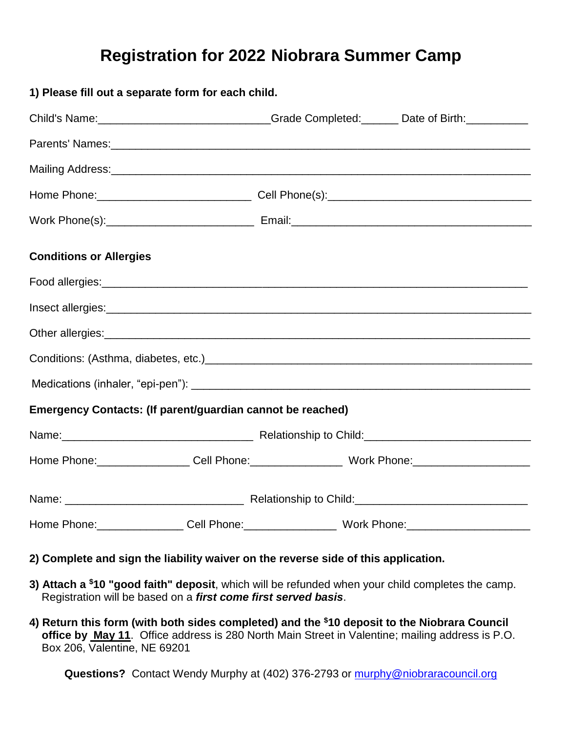## **Registration for 2022 Niobrara Summer Camp**

| 1) Please fill out a separate form for each child.                                                                                                                                                                             |  |  |  |  |  |  |  |  |
|--------------------------------------------------------------------------------------------------------------------------------------------------------------------------------------------------------------------------------|--|--|--|--|--|--|--|--|
| Child's Name: _______________________________Grade Completed: _______ Date of Birth: _____________                                                                                                                             |  |  |  |  |  |  |  |  |
| Parents' Names: 1990 and 200 and 200 and 200 and 200 and 200 and 200 and 200 and 200 and 200 and 200 and 200 and 200 and 200 and 200 and 200 and 200 and 200 and 200 and 200 and 200 and 200 and 200 and 200 and 200 and 200 a |  |  |  |  |  |  |  |  |
|                                                                                                                                                                                                                                |  |  |  |  |  |  |  |  |
|                                                                                                                                                                                                                                |  |  |  |  |  |  |  |  |
|                                                                                                                                                                                                                                |  |  |  |  |  |  |  |  |
| <b>Conditions or Allergies</b>                                                                                                                                                                                                 |  |  |  |  |  |  |  |  |
|                                                                                                                                                                                                                                |  |  |  |  |  |  |  |  |
|                                                                                                                                                                                                                                |  |  |  |  |  |  |  |  |
|                                                                                                                                                                                                                                |  |  |  |  |  |  |  |  |
|                                                                                                                                                                                                                                |  |  |  |  |  |  |  |  |
|                                                                                                                                                                                                                                |  |  |  |  |  |  |  |  |
| Emergency Contacts: (If parent/guardian cannot be reached)                                                                                                                                                                     |  |  |  |  |  |  |  |  |
|                                                                                                                                                                                                                                |  |  |  |  |  |  |  |  |
| Home Phone:__________________Cell Phone:__________________________Work Phone:_______________________                                                                                                                           |  |  |  |  |  |  |  |  |
|                                                                                                                                                                                                                                |  |  |  |  |  |  |  |  |
| Home Phone:_________________Cell Phone:___________________________Work Phone:_______________________                                                                                                                           |  |  |  |  |  |  |  |  |

- **2) Complete and sign the liability waiver on the reverse side of this application.**
- **3) Attach a \$10 "good faith" deposit**, which will be refunded when your child completes the camp. Registration will be based on a *first come first served basis*.
- **4) Return this form (with both sides completed) and the \$10 deposit to the Niobrara Council office by May 11**. Office address is 280 North Main Street in Valentine; mailing address is P.O. Box 206, Valentine, NE 69201

**Questions?** Contact Wendy Murphy at (402) 376-2793 or [murphy@niobraracouncil.org](mailto:murphy@niobraracouncil.org)